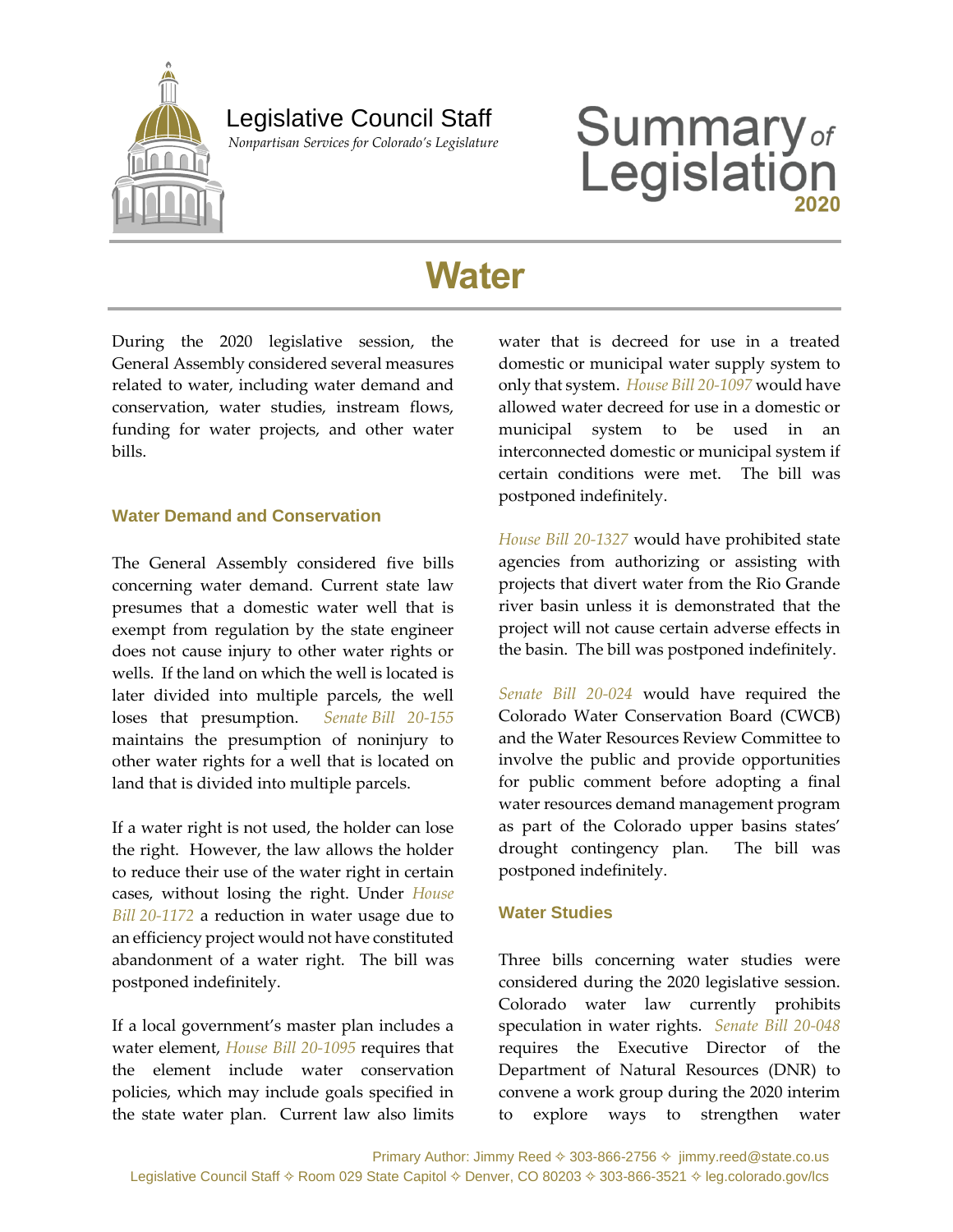

## Legislative Council Staff

 *Nonpartisan Services for Colorado's Legislature*

# **Summary**<sub>of</sub><br>Legislation

# **Water**

During the 2020 legislative session, the General Assembly considered several measures related to water, including water demand and conservation, water studies, instream flows, funding for water projects, and other water bills.

#### **Water Demand and Conservation**

The General Assembly considered five bills concerning water demand. Current state law presumes that a domestic water well that is exempt from regulation by the state engineer does not cause injury to other water rights or wells. If the land on which the well is located is later divided into multiple parcels, the well loses that presumption. *Senate [Bill 20-155](https://leg.colorado.gov/bills/sb20-155)* maintains the presumption of noninjury to other water rights for a well that is located on land that is divided into multiple parcels.

If a water right is not used, the holder can lose the right. However, the law allows the holder to reduce their use of the water right in certain cases, without losing the right. Under *[House](https://leg.colorado.gov/bills/hb20-1172)  Bill [20-1172](https://leg.colorado.gov/bills/hb20-1172)* a reduction in water usage due to an efficiency project would not have constituted abandonment of a water right. The bill was postponed indefinitely.

If a local government's master plan includes a water element, *[House Bill 20-1095](https://leg.colorado.gov/bills/hb20-1095)* requires that the element include water conservation policies, which may include goals specified in the state water plan. Current law also limits

water that is decreed for use in a treated domestic or municipal water supply system to only that system. *[House Bill 20-1097](https://leg.colorado.gov/bills/hb20-1097)* would have allowed water decreed for use in a domestic or municipal system to be used in an interconnected domestic or municipal system if certain conditions were met. The bill was postponed indefinitely.

*[House Bill 20-1327](https://leg.colorado.gov/bills/hb20-1327)* would have prohibited state agencies from authorizing or assisting with projects that divert water from the Rio Grande river basin unless it is demonstrated that the project will not cause certain adverse effects in the basin. The bill was postponed indefinitely.

*[Senate Bill 20-024](https://leg.colorado.gov/bills/sb20-024)* would have required the Colorado Water Conservation Board (CWCB) and the Water Resources Review Committee to involve the public and provide opportunities for public comment before adopting a final water resources demand management program as part of the Colorado upper basins states' drought contingency plan. The bill was postponed indefinitely.

#### **Water Studies**

Three bills concerning water studies were considered during the 2020 legislative session. Colorado water law currently prohibits speculation in water rights. *[Senate Bill 20-048](https://leg.colorado.gov/bills/sb20-048)* requires the Executive Director of the Department of Natural Resources (DNR) to convene a work group during the 2020 interim to explore ways to strengthen water